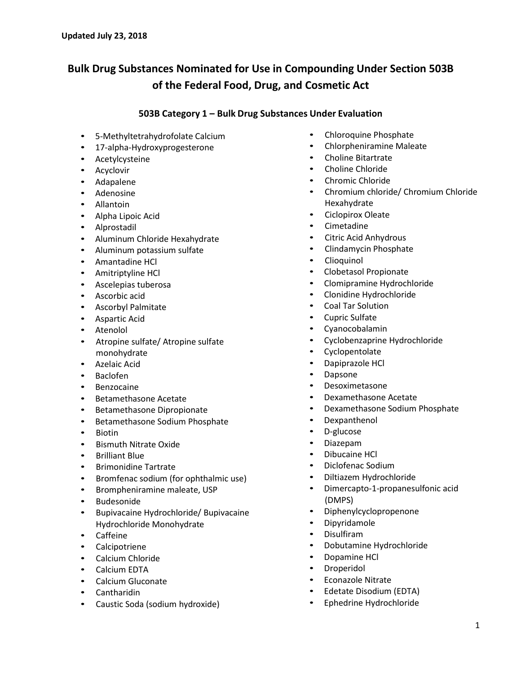# **Bulk Drug Substances Nominated for Use in Compounding Under Section 503B of the Federal Food, Drug, and Cosmetic Act**

## **503B Category 1 – Bulk Drug Substances Under Evaluation**

- 5-Methyltetrahydrofolate Calcium
- • 17-alpha-Hydroxyprogesterone
- • Acetylcysteine
- **Acyclovir**
- • Adapalene
- **Adenosine**
- **Allantoin**
- Alpha Lipoic Acid
- • Alprostadil
- • Aluminum Chloride Hexahydrate
- • Aluminum potassium sulfate
- • Amantadine HCl
- • Amitriptyline HCl
- • Ascelepias tuberosa
- • Ascorbic acid
- • Ascorbyl Palmitate
- Aspartic Acid
- **Atenolol**
- • Atropine sulfate/ Atropine sulfate monohydrate
- • Azelaic Acid
- **Baclofen**
- • Benzocaine
- • Betamethasone Acetate
- • Betamethasone Dipropionate
- • Betamethasone Sodium Phosphate
- • Biotin
- **Bismuth Nitrate Oxide**
- **Brilliant Blue**
- **Brimonidine Tartrate**
- Bromfenac sodium (for ophthalmic use)
- • Brompheniramine maleate, USP
- **Budesonide**
- • Bupivacaine Hydrochloride/ Bupivacaine Hydrochloride Monohydrate
- • Caffeine
- **Calcipotriene**
- • Calcium Chloride
- Calcium EDTA
- • Calcium Gluconate
- **Cantharidin**
- • Caustic Soda (sodium hydroxide)
- Chloroquine Phosphate
- Chlorpheniramine Maleate
- Choline Bitartrate
- Choline Chloride
- Chromic Chloride
- • Chromium chloride/ Chromium Chloride Hexahydrate
- Ciclopirox Oleate
- • Cimetadine
- Citric Acid Anhydrous
- • Clindamycin Phosphate
- **Clioquinol**
- Clobetasol Propionate
- Clomipramine Hydrochloride
- Clonidine Hydrochloride
- **Coal Tar Solution**
- **Cupric Sulfate**
- • Cyanocobalamin
- Cyclobenzaprine Hydrochloride
- Cyclopentolate
- Dapiprazole HCl
- **Dapsone**
- **Desoximetasone**
- Dexamethasone Acetate
- Dexamethasone Sodium Phosphate
- **Dexpanthenol**
- • D-glucose
- • Diazepam
- • Dibucaine HCl
- Diclofenac Sodium
- Diltiazem Hydrochloride
- • Dimercapto-1-propanesulfonic acid (DMPS)
- **Diphenylcyclopropenone**
- • Dipyridamole
- **Disulfiram**
- Dobutamine Hydrochloride
- Dopamine HCl
- • Droperidol
- • Econazole Nitrate
- Edetate Disodium (EDTA)
- • Ephedrine Hydrochloride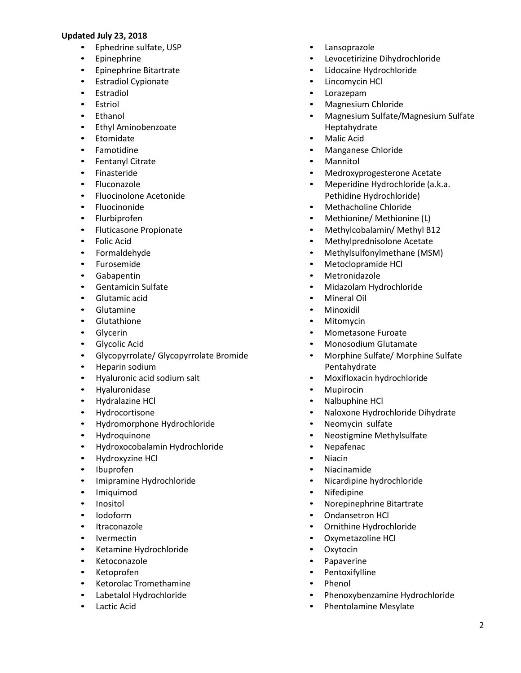- Ephedrine sulfate, USP
- **Epinephrine**
- **Epinephrine Bitartrate**
- • Estradiol Cypionate
- • Estradiol
- • Estriol
- • Ethanol
- • Ethyl Aminobenzoate
- • Etomidate
- • Famotidine
- • Fentanyl Citrate
- • Finasteride
- • Fluconazole
- • Fluocinolone Acetonide
- • Fluocinonide
- • Flurbiprofen
- • Fluticasone Propionate
- • Folic Acid
- • Formaldehyde
- • Furosemide
- • Gabapentin
- • Gentamicin Sulfate
- • Glutamic acid
- • Glutamine
- • Glutathione
- • Glycerin
- • Glycolic Acid
- • Glycopyrrolate/ Glycopyrrolate Bromide
- Heparin sodium
- • Hyaluronic acid sodium salt
- • Hyaluronidase
- • Hydralazine HCl
- • Hydrocortisone
- • Hydromorphone Hydrochloride
- • Hydroquinone
- • Hydroxocobalamin Hydrochloride
- • Hydroxyzine HCl
- • Ibuprofen
- • Imipramine Hydrochloride
- • Imiquimod
- • Inositol
- • Iodoform
- • Itraconazole
- • Ivermectin
- • Ketamine Hydrochloride
- • Ketoconazole
- Ketoprofen
- • Ketorolac Tromethamine
- Labetalol Hydrochloride
- Lactic Acid
- Lansoprazole
- Levocetirizine Dihydrochloride
- Lidocaine Hydrochloride
- Lincomycin HCl
- **Lorazepam**
- • Magnesium Chloride
- • Magnesium Sulfate/Magnesium Sulfate Heptahydrate
- **Malic Acid**
- Manganese Chloride
- **Mannitol**
- Medroxyprogesterone Acetate
- Meperidine Hydrochloride (a.k.a. Pethidine Hydrochloride)
- **Methacholine Chloride**
- Methionine/ Methionine (L)
- Methylcobalamin/ Methyl B12
- Methylprednisolone Acetate
- Methylsulfonylmethane (MSM)
- Metoclopramide HCl
- • Metronidazole
- Midazolam Hydrochloride
- **Mineral Oil**
- **Minoxidil**
- **Mitomycin**
- **Mometasone Furoate**
- Monosodium Glutamate
- • Morphine Sulfate/ Morphine Sulfate Pentahydrate
- Moxifloxacin hydrochloride
- • Mupirocin
- Nalbuphine HCl
- • Naloxone Hydrochloride Dihydrate
- • Neomycin sulfate
- Neostigmine Methylsulfate
- **Nepafenac**
- **Niacin**
- **Niacinamide**
- Nicardipine hydrochloride
- **Nifedipine**
- Norepinephrine Bitartrate
- Ondansetron HCl
- • Ornithine Hydrochloride
- Oxymetazoline HCl
- • Oxytocin
- Papaverine
- **Pentoxifylline**
- **Phenol**
- Phenoxybenzamine Hydrochloride
- • Phentolamine Mesylate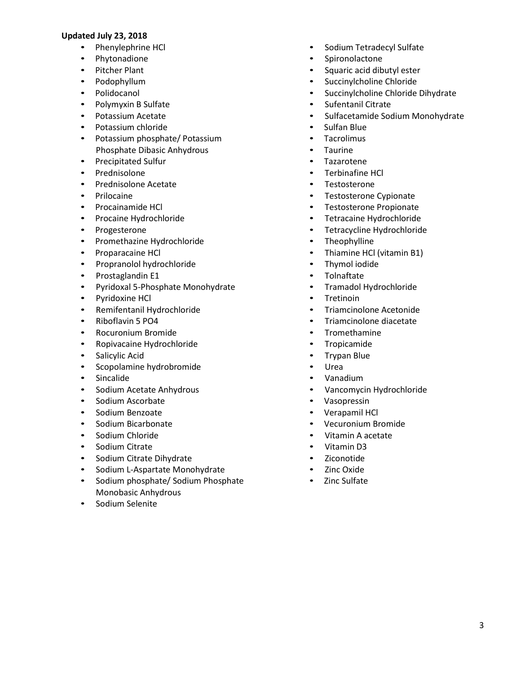- • Phenylephrine HCl
- Phytonadione
- • Pitcher Plant
- • Podophyllum
- • Polidocanol
- • Polymyxin B Sulfate
- • Potassium Acetate
- • Potassium chloride
- • Potassium phosphate/ Potassium Phosphate Dibasic Anhydrous
- • Precipitated Sulfur
- • Prednisolone
- • Prednisolone Acetate
- • Prilocaine
- • Procainamide HCl
- • Procaine Hydrochloride
- • Progesterone
- • Promethazine Hydrochloride
- • Proparacaine HCl
- • Propranolol hydrochloride
- • Prostaglandin E1
- • Pyridoxal 5-Phosphate Monohydrate
- • Pyridoxine HCl
- • Remifentanil Hydrochloride
- • Riboflavin 5 PO4
- • Rocuronium Bromide
- • Ropivacaine Hydrochloride
- • Salicylic Acid
- Scopolamine hydrobromide
- • Sincalide
- • Sodium Acetate Anhydrous
- • Sodium Ascorbate
- • Sodium Benzoate
- • Sodium Bicarbonate
- • Sodium Chloride
- • Sodium Citrate
- • Sodium Citrate Dihydrate
- Sodium L-Aspartate Monohydrate
- • Sodium phosphate/ Sodium Phosphate Monobasic Anhydrous
- Sodium Selenite
- Sodium Tetradecyl Sulfate
- Spironolactone
- Squaric acid dibutyl ester
- Succinylcholine Chloride
- Succinylcholine Chloride Dihydrate
- Sufentanil Citrate
- Sulfacetamide Sodium Monohydrate
- Sulfan Blue
- • Tacrolimus
- • Taurine
- **Tazarotene**
- Terbinafine HCl
- **Testosterone**
- Testosterone Cypionate
- • Testosterone Propionate
- Tetracaine Hydrochloride
- • Tetracycline Hydrochloride
- Theophylline
- Thiamine HCl (vitamin B1)
- • Thymol iodide
- • Tolnaftate
- • Tramadol Hydrochloride
- • Tretinoin
- **Triamcinolone Acetonide**
- Triamcinolone diacetate
- • Tromethamine
- **Tropicamide**
- • Trypan Blue
- **Urea**
- • Vanadium
- Vancomycin Hydrochloride
- • Vasopressin
- Verapamil HCl
- • Vecuronium Bromide
- Vitamin A acetate
- Vitamin D3
- **Ziconotide**
- **Zinc Oxide**
- • Zinc Sulfate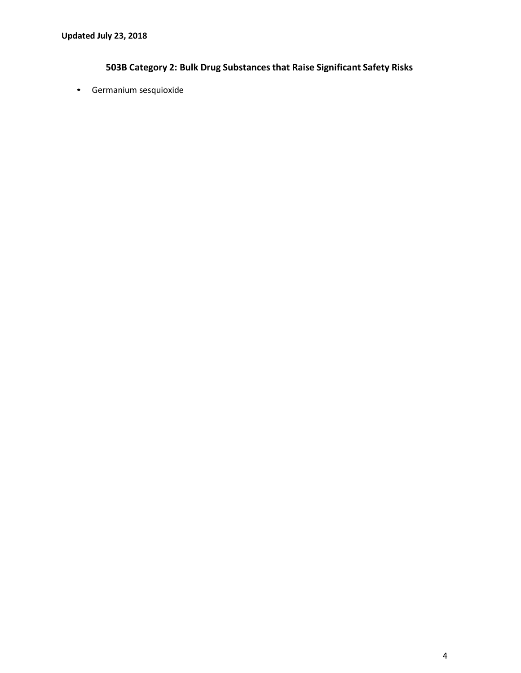## **503B Category 2: Bulk Drug Substances that Raise Significant Safety Risks**

• Germanium sesquioxide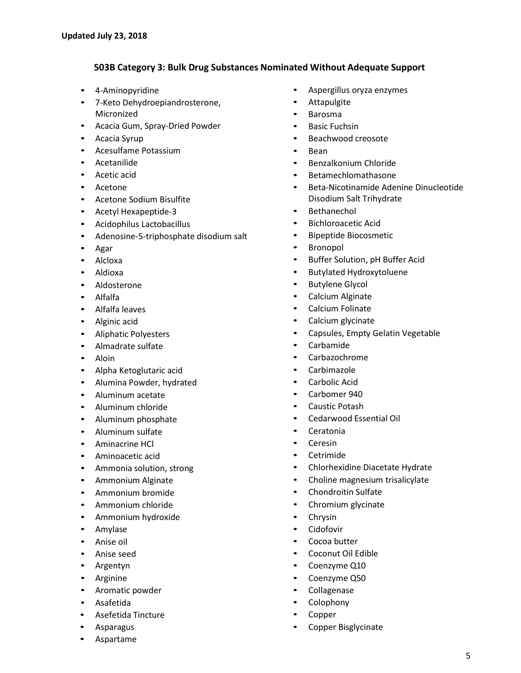## **503B Category 3: Bulk Drug Substances Nominated Without Adequate Support**

- • 4-Aminopyridine
- • 7-Keto Dehydroepiandrosterone, Micronized
- Acacia Gum, Spray-Dried Powder
- • Acacia Syrup
- • Acesulfame Potassium
- • Acetanilide
- • Acetic acid
- **Acetone**
- • Acetone Sodium Bisulfite
- • Acetyl Hexapeptide-3
- Acidophilus Lactobacillus
- Adenosine-5-triphosphate disodium salt
- • Agar
- **Alcloxa**
- • Aldioxa
- **Aldosterone**
- • Alfalfa
- • Alfalfa leaves
- Alginic acid
- • Aliphatic Polyesters
- • Almadrate sulfate
- • Aloin
- Alpha Ketoglutaric acid
- • Alumina Powder, hydrated
- Aluminum acetate
- Aluminum chloride
- • Aluminum phosphate
- Aluminum sulfate
- • Aminacrine HCl
- Aminoacetic acid
- • Ammonia solution, strong
- • Ammonium Alginate
- • Ammonium bromide
- Ammonium chloride
- • Ammonium hydroxide
- **Amylase**
- • Anise oil
- • Anise seed
- **Argentyn**
- • Arginine
- Aromatic powder
- • Asafetida
- • Asefetida Tincture
- **Asparagus**
- • Aspartame
- Aspergillus oryza enzymes
- • Attapulgite
- • Barosma
- **Basic Fuchsin**
- Beachwood creosote
- • Bean
- • Benzalkonium Chloride
- **Betamechlomathasone**
- Beta-Nicotinamide Adenine Dinucleotide Disodium Salt Trihydrate
- **Bethanechol**
- • Bichloroacetic Acid
- • Bipeptide Biocosmetic
- • Bronopol
- • Buffer Solution, pH Buffer Acid
- • Butylated Hydroxytoluene
- • Butylene Glycol
- Calcium Alginate
- • Calcium Folinate
- Calcium glycinate
- Capsules, Empty Gelatin Vegetable
- **Carbamide**
- **Carbazochrome**
- **Carbimazole**
- Carbolic Acid
- Carbomer 940
- **Caustic Potash**
- • Cedarwood Essential Oil
- **Ceratonia**
- • Ceresin
- • Cetrimide
- Chlorhexidine Diacetate Hydrate
- Choline magnesium trisalicylate
- • Chondroitin Sulfate
- Chromium glycinate
- • Chrysin
- **Cidofovir**
- Cocoa butter
- • Coconut Oil Edible
- Coenzyme Q10
- • Coenzyme Q50
- **Collagenase**
- **Colophony**
- **Copper**
- Copper Bisglycinate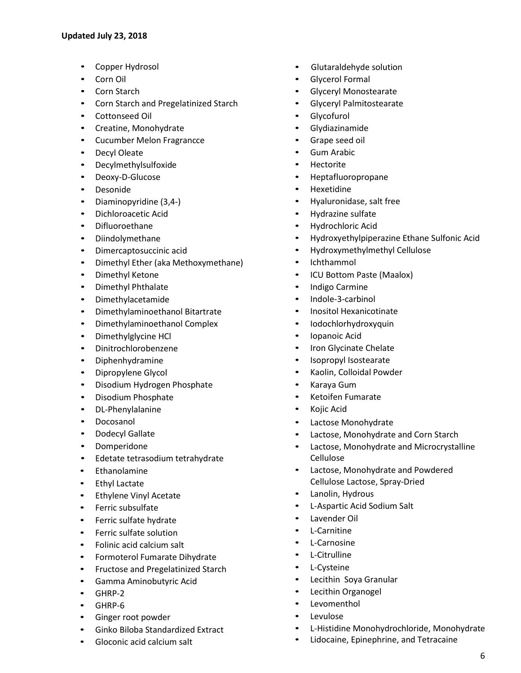- Copper Hydrosol
- • Corn Oil
- Corn Starch
- Corn Starch and Pregelatinized Starch
- • Cottonseed Oil
- Creatine, Monohydrate
- • Cucumber Melon Fragrancce
- **Decyl Oleate**
- • Decylmethylsulfoxide
- • Deoxy-D-Glucose
- • Desonide
- • Diaminopyridine (3,4-)
- Dichloroacetic Acid
- • Difluoroethane
- • Diindolymethane
- • Dimercaptosuccinic acid
- Dimethyl Ether (aka Methoxymethane)
- • Dimethyl Ketone
- • Dimethyl Phthalate
- • Dimethylacetamide
- • Dimethylaminoethanol Bitartrate
- • Dimethylaminoethanol Complex
- • Dimethylglycine HCl
- • Dinitrochlorobenzene
- • Diphenhydramine
- • Dipropylene Glycol
- Disodium Hydrogen Phosphate
- • Disodium Phosphate
- • DL-Phenylalanine
- **Docosanol**
- • Dodecyl Gallate
- • Domperidone
- • Edetate tetrasodium tetrahydrate
- • Ethanolamine
- • Ethyl Lactate
- • Ethylene Vinyl Acetate
- • Ferric subsulfate
- • Ferric sulfate hydrate
- • Ferric sulfate solution
- • Folinic acid calcium salt
- Formoterol Fumarate Dihydrate
- • Fructose and Pregelatinized Starch
- Gamma Aminobutyric Acid
- • GHRP-2
- • GHRP-6
- Ginger root powder
- • Ginko Biloba Standardized Extract
- • Gloconic acid calcium salt
- • Glutaraldehyde solution
- **Glycerol Formal**
- **Glyceryl Monostearate**
- **Glyceryl Palmitostearate**
- **Glycofurol**
- **Glydiazinamide**
- Grape seed oil
- **Gum Arabic**
- **Hectorite**
- • Heptafluoropropane
- **Hexetidine**
- Hyaluronidase, salt free
- Hydrazine sulfate
- • Hydrochloric Acid
- • Hydroxyethylpiperazine Ethane Sulfonic Acid
- Hydroxymethylmethyl Cellulose
- **Ichthammol**
- • ICU Bottom Paste (Maalox)
- **Indigo Carmine**
- Indole-3-carbinol
- • Inositol Hexanicotinate
- **Iodochlorhydroxyquin**
- • Iopanoic Acid
- Iron Glycinate Chelate
- • Isopropyl Isostearate
- • Kaolin, Colloidal Powder
- Karaya Gum
- **Ketoifen Fumarate**
- • Kojic Acid
- Lactose Monohydrate
- Lactose, Monohydrate and Corn Starch
- Lactose, Monohydrate and Microcrystalline Cellulose
- • Lactose, Monohydrate and Powdered Cellulose Lactose, Spray-Dried
- Lanolin, Hydrous
- L-Aspartic Acid Sodium Salt
- Lavender Oil
- L-Carnitine
- **L-Carnosine**
- L-Citrulline
- **L-Cysteine**
- • Lecithin Soya Granular
- Lecithin Organogel
- **Levomenthol**
- **Levulose**
- L-Histidine Monohydrochloride, Monohydrate
- • Lidocaine, Epinephrine, and Tetracaine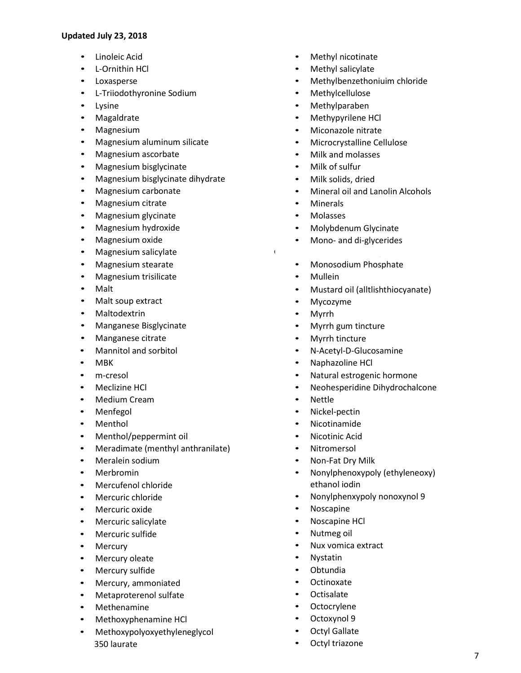- Linoleic Acid
- • L-Ornithin HCl
- **Loxasperse**
- • L-Triiodothyronine Sodium
- • Lysine
- • Magaldrate
- Magnesium
- Magnesium aluminum silicate
- • Magnesium ascorbate
- Magnesium bisglycinate
- Magnesium bisglycinate dihydrate
- • Magnesium carbonate
- Magnesium citrate
- Magnesium glycinate
- • Magnesium hydroxide
- Magnesium oxide
- • Magnesium salicylate
- • Magnesium stearate
- Magnesium trisilicate
- • Malt
- Malt soup extract
- **Maltodextrin**
- • Manganese Bisglycinate
- • Manganese citrate
- • Mannitol and sorbitol
- • MBK
- • m-cresol
- Meclizine HCl
- • Medium Cream
- **Menfegol**
- Menthol
- Menthol/peppermint oil
- Meradimate (menthyl anthranilate)
- Meralein sodium
- • Merbromin
- • Mercufenol chloride
- • Mercuric chloride
- • Mercuric oxide
- Mercuric salicylate
- • Mercuric sulfide
- • Mercury
- Mercury oleate
- Mercury sulfide
- Mercury, ammoniated
- • Metaproterenol sulfate
- • Methenamine
- • Methoxyphenamine HCl
- Methoxypolyoxyethyleneglycol 350 laurate
- Methyl nicotinate
- Methyl salicylate
- Methylbenzethoniuim chloride
- **Methylcellulose**
- **Methylparaben**
- Methypyrilene HCl
- Miconazole nitrate
- Microcrystalline Cellulose
- Milk and molasses
- Milk of sulfur
- Milk solids, dried
- Mineral oil and Lanolin Alcohols
- **Minerals**
- **Molasses**
- • Molybdenum Glycinate
- Mono- and di-glycerides

e • Monosodium L-Aspartate

- • Monosodium Phosphate
- **Mullein**
- • Mustard oil (alltlishthiocyanate)
- Mycozyme
- **Myrrh**
- • Myrrh gum tincture
- Myrrh tincture
- N-Acetyl-D-Glucosamine
- • Naphazoline HCl
- Natural estrogenic hormone
- • Neohesperidine Dihydrochalcone
- **Nettle**
- Nickel-pectin
- **Nicotinamide**
- **Nicotinic Acid**
- **Nitromersol**
- Non-Fat Dry Milk
- Nonylphenoxypoly (ethyleneoxy) ethanol iodin
- Nonylphenxypoly nonoxynol 9
- • Noscapine
- Noscapine HCl
- • Nutmeg oil
- Nux vomica extract
- **Nystatin**
- **Obtundia**
- **Octinoxate**
- **Octisalate**
- **Octocrylene**
- Octoxynol 9
- **Octyl Gallate**
- Octyl triazone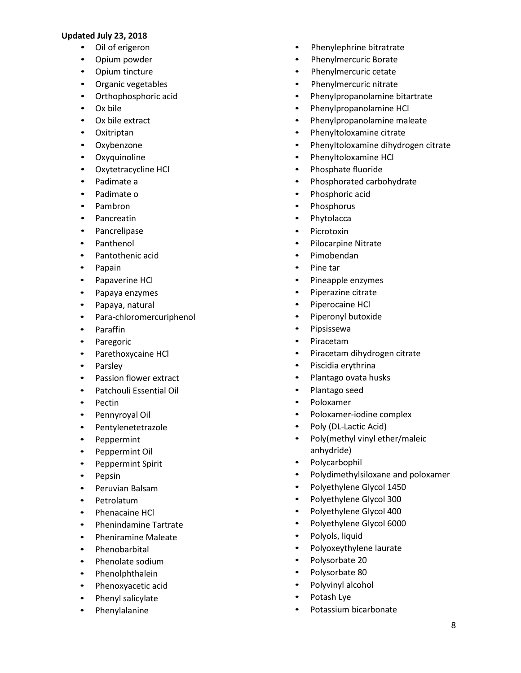- • Oil of erigeron
- • Opium powder
- • Opium tincture
- • Organic vegetables
- • Orthophosphoric acid
- • Ox bile
- • Ox bile extract
- • Oxitriptan
- • Oxybenzone
- • Oxyquinoline
- • Oxytetracycline HCl
- • Padimate a
- • Padimate o
- • Pambron
- • Pancreatin
- • Pancrelipase
- • Panthenol
- • Pantothenic acid
- • Papain
- • Papaverine HCl
- • Papaya enzymes
- • Papaya, natural
- • Para-chloromercuriphenol
- • Paraffin
- • Paregoric
- • Parethoxycaine HCl
- • Parsley
- • Passion flower extract
- • Patchouli Essential Oil
- • Pectin
- • Pennyroyal Oil
- • Pentylenetetrazole
- • Peppermint
- • Peppermint Oil
- • Peppermint Spirit
- • Pepsin
- • Peruvian Balsam
- • Petrolatum
- Phenacaine HCl
- • Phenindamine Tartrate
- • Pheniramine Maleate
- • Phenobarbital
- • Phenolate sodium
- • Phenolphthalein
- • Phenoxyacetic acid
- • Phenyl salicylate
- • Phenylalanine
- Phenylephrine bitratrate
- Phenylmercuric Borate
- Phenylmercuric cetate
- Phenylmercuric nitrate
- • Phenylpropanolamine bitartrate
- • Phenylpropanolamine HCl
- • Phenylpropanolamine maleate
- Phenyltoloxamine citrate
- • Phenyltoloxamine dihydrogen citrate
- • Phenyltoloxamine HCl
- Phosphate fluoride
- • Phosphorated carbohydrate
- • Phosphoric acid
- • Phosphorus
- • Phytolacca
- **Picrotoxin**
- • Pilocarpine Nitrate
- • Pimobendan
- Pine tar
- • Pineapple enzymes
- • Piperazine citrate
- Piperocaine HCl
- • Piperonyl butoxide
- • Pipsissewa
- **Piracetam**
- • Piracetam dihydrogen citrate
- • Piscidia erythrina
- • Plantago ovata husks
- • Plantago seed
- **Poloxamer**
- • Poloxamer-iodine complex
- Poly (DL-Lactic Acid)
- • Poly(methyl vinyl ether/maleic anhydride)
- • Polycarbophil
- • Polydimethylsiloxane and poloxamer
- • Polyethylene Glycol 1450
- • Polyethylene Glycol 300
- Polyethylene Glycol 400
- • Polyethylene Glycol 6000
- • Polyols, liquid
- • Polyoxeythylene laurate
- • Polysorbate 20
- Polysorbate 80
- • Polyvinyl alcohol
- • Potash Lye
- • Potassium bicarbonate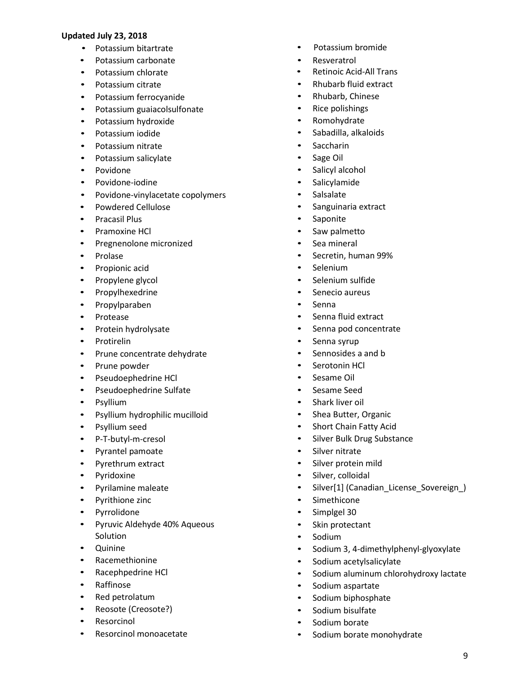- • Potassium bitartrate
- • Potassium carbonate
- • Potassium chlorate
- • Potassium citrate
- • Potassium ferrocyanide
- • Potassium guaiacolsulfonate
- • Potassium hydroxide
- • Potassium iodide
- • Potassium nitrate
- • Potassium salicylate
- • Povidone
- • Povidone-iodine
- • Povidone-vinylacetate copolymers
- • Powdered Cellulose
- • Pracasil Plus
- • Pramoxine HCl
- • Pregnenolone micronized
- • Prolase
- • Propionic acid
- • Propylene glycol
- • Propylhexedrine
- • Propylparaben
- • Protease
- • Protein hydrolysate
- • Protirelin
- • Prune concentrate dehydrate
- • Prune powder
- • Pseudoephedrine HCl
- • Pseudoephedrine Sulfate
- • Psyllium
- • Psyllium hydrophilic mucilloid
- • Psyllium seed
- • P-T-butyl-m-cresol
- • Pyrantel pamoate
- • Pyrethrum extract
- • Pyridoxine
- • Pyrilamine maleate
- • Pyrithione zinc
- • Pyrrolidone
- • Pyruvic Aldehyde 40% Aqueous Solution
- • Quinine
- • Racemethionine
- • Racephpedrine HCl
- • Raffinose
- • Red petrolatum
- Reosote (Creosote?)
- • Resorcinol
- • Resorcinol monoacetate
- Potassium bromide
- • Resveratrol
- **Retinoic Acid-All Trans**
- • Rhubarb fluid extract
- • Rhubarb, Chinese
- Rice polishings
- • Romohydrate
- • Sabadilla, alkaloids
- • Saccharin
- • Sage Oil
- Salicyl alcohol
- • Salicylamide
- • Salsalate
- • Sanguinaria extract
- • Saponite
- • Saw palmetto
- • Sea mineral
- • Secretin, human 99%
- • Selenium
- • Selenium sulfide
- Senecio aureus
- • Senna
- • Senna fluid extract
- Senna pod concentrate
- Senna syrup
- • Sennosides a and b
- • Serotonin HCl
- • Sesame Oil
- • Sesame Seed
- • Shark liver oil
- Shea Butter, Organic
- Short Chain Fatty Acid
- • Silver Bulk Drug Substance
- • Silver nitrate
- • Silver protein mild
- • Silver, colloidal
- • Silver[1] (Canadian\_License\_Sovereign\_)
- • Simethicone
- • Simplgel 30
- • Skin protectant
- • Sodium
- • Sodium 3, 4-dimethylphenyl-glyoxylate
- Sodium acetylsalicylate
- • Sodium aluminum chlorohydroxy lactate
- Sodium aspartate
- • Sodium biphosphate
- Sodium bisulfate
- • Sodium borate
- • Sodium borate monohydrate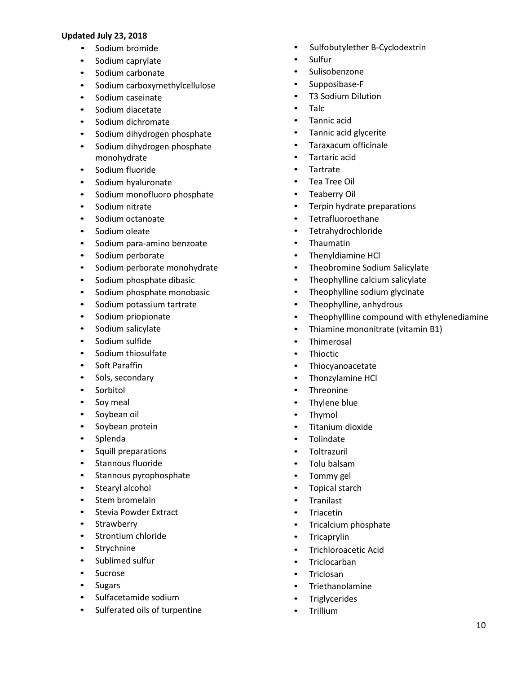- • Sodium bromide
- • Sodium caprylate
- Sodium carbonate
- • Sodium carboxymethylcellulose
- • Sodium caseinate
- • Sodium diacetate
- • Sodium dichromate
- • Sodium dihydrogen phosphate
- Sodium dihydrogen phosphate monohydrate
- • Sodium fluoride
- • Sodium hyaluronate
- • Sodium monofluoro phosphate
- • Sodium nitrate
- • Sodium octanoate
- • Sodium oleate
- • Sodium para-amino benzoate
- • Sodium perborate
- • Sodium perborate monohydrate
- • Sodium phosphate dibasic
- • Sodium phosphate monobasic
- • Sodium potassium tartrate
- • Sodium priopionate
- • Sodium salicylate
- • Sodium sulfide
- • Sodium thiosulfate
- • Soft Paraffin
- • Sols, secondary
- • Sorbitol
- Soy meal
- • Soybean oil
- • Soybean protein
- • Splenda
- • Squill preparations
- • Stannous fluoride
- • Stannous pyrophosphate
- Stearyl alcohol
- • Stem bromelain
- • Stevia Powder Extract
- • Strawberry
- • Strontium chloride
- • Strychnine
- • Sublimed sulfur
- • Sucrose
- • Sugars
- • Sulfacetamide sodium
- • Sulferated oils of turpentine
- Sulfobutylether B-Cyclodextrin
- • Sulfur
- • Sulisobenzone
- • Supposibase-F
- • T3 Sodium Dilution
- • Talc
- • Tannic acid
- • Tannic acid glycerite
- • Taraxacum officinale
- • Tartaric acid
- **Tartrate**
- • Tea Tree Oil
- • Teaberry Oil
- • Terpin hydrate preparations
- • Tetrafluoroethane
- • Tetrahydrochloride
- • Thaumatin
- Thenyldiamine HCl
- Theobromine Sodium Salicylate
- Theophylline calcium salicylate
- Theophylline sodium glycinate
- • Theophylline, anhydrous
- • Theophyllline compound with ethylenediamine
- Thiamine mononitrate (vitamin B1)
- • Thimerosal
- • Thioctic
- • Thiocyanoacetate
- Thonzylamine HCl
- Threonine
- Thylene blue
- • Thymol
- • Titanium dioxide
- **Tolindate**
- • Toltrazuril
- • Tolu balsam
- Tommy gel
- Topical starch
- • Tranilast
- • Triacetin
- • Tricalcium phosphate
- • Tricaprylin
- • Trichloroacetic Acid
- • Triclocarban
- **Triclosan**
- • Triethanolamine
- • Triglycerides
- • Trillium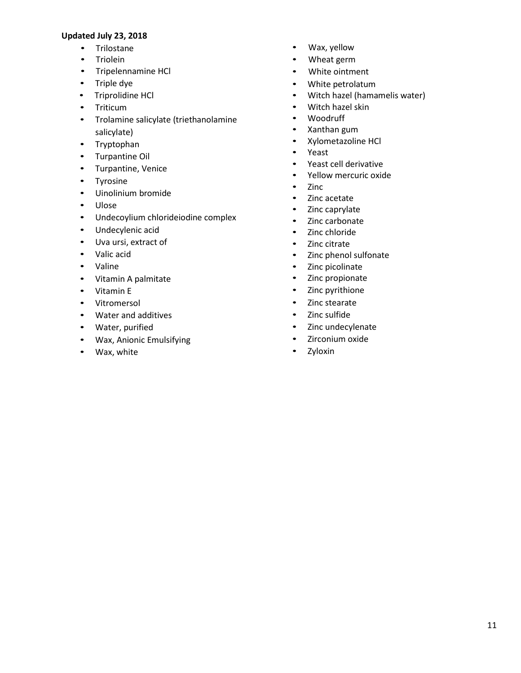- • Trilostane
- • Triolein
- • Tripelennamine HCl
- • Triple dye
- • Triprolidine HCl
- • Triticum
- • Trolamine salicylate (triethanolamine salicylate)
- • Tryptophan
- • Turpantine Oil
- • Turpantine, Venice
- • Tyrosine
- • Uinolinium bromide
- • Ulose
- • Undecoylium chlorideiodine complex
- • Undecylenic acid
- • Uva ursi, extract of
- • Valic acid
- • Valine
- • Vitamin A palmitate
- • Vitamin E
- • Vitromersol
- • Water and additives
- • Water, purified
- • Wax, Anionic Emulsifying
- • Wax, white
- Wax, yellow
- $\bullet$ Wheat germ
- $\bullet$ White ointment
- • White petrolatum
- • Witch hazel (hamamelis water)
- • Witch hazel skin
- • Woodruff
- • Xanthan gum
- • Xylometazoline HCl
- • Yeast
- • Yeast cell derivative
- • Yellow mercuric oxide
- • Zinc
- • Zinc acetate
- Zinc caprylate
- Zinc carbonate
- • Zinc chloride
- • Zinc citrate
- • Zinc phenol sulfonate
- • Zinc picolinate
- • Zinc propionate
- • Zinc pyrithione
- • Zinc stearate
- • Zinc sulfide
- • Zinc undecylenate
- • Zirconium oxide
- • Zyloxin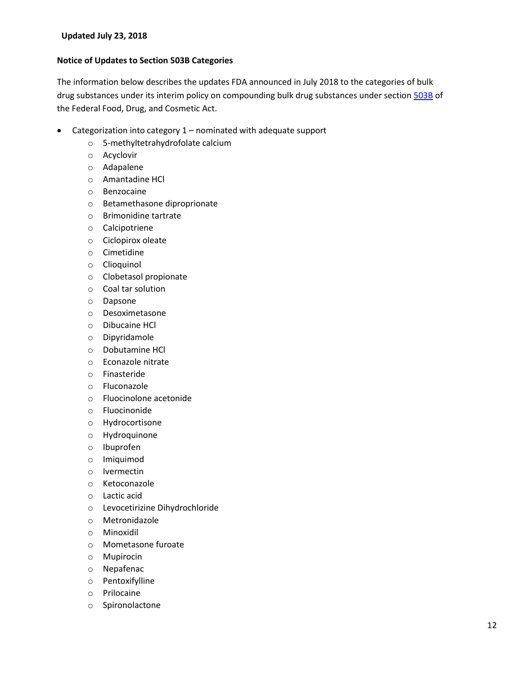#### **Notice of Updates to Section 503B Categories**

The information below describes the updates FDA announced in July 2018 to the categories of bulk drug substances under its interim policy on compounding bulk drug substances under section [503B](https://www.fda.gov/downloads/Drugs/GuidanceComplianceRegulatoryInformation/Guidances/UCM469122.pdf) of the Federal Food, Drug, and Cosmetic Act.

- Categorization into category 1 nominated with adequate support
	- o 5-methyltetrahydrofolate calcium
	- o Acyclovir
	- o Adapalene
	- o Amantadine HCl
	- o Benzocaine
	- o Betamethasone diproprionate
	- o Brimonidine tartrate
	- o Calcipotriene
	- o Ciclopirox oleate
	- o Cimetidine
	- o Clioquinol
	- o Clobetasol propionate
	- o Coal tar solution
	- o Dapsone
	- o Desoximetasone
	- o Dibucaine HCl
	- o Dipyridamole
	- o Dobutamine HCl
	- o Econazole nitrate
	- o Finasteride
	- o Fluconazole
	- o Fluocinolone acetonide
	- o Fluocinonide
	- o Hydrocortisone
	- o Hydroquinone
	- o Ibuprofen
	- o Imiquimod
	- o Ivermectin
	- o Ketoconazole
	- o Lactic acid
	- o Levocetirizine Dihydrochloride
	- o Metronidazole
	- o Minoxidil
	- o Mometasone furoate
	- o Mupirocin
	- o Nepafenac
	- o Pentoxifylline
	- o Prilocaine
	- o Spironolactone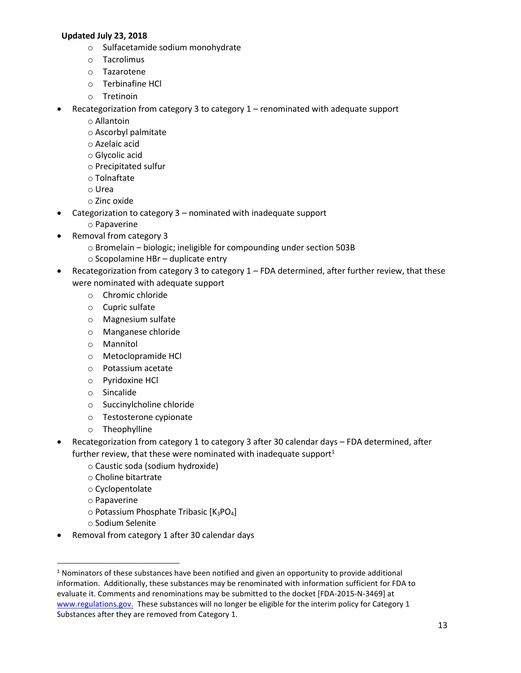- o Sulfacetamide sodium monohydrate
- o Tacrolimus
- o Tazarotene
- o Terbinafine HCl
- o Tretinoin
- Recategorization from category 3 to category 1 renominated with adequate support
	- o Allantoin
		- o Ascorbyl palmitate
		- o Azelaic acid
		- o Glycolic acid
		- o Precipitated sulfur
		- o Tolnaftate
		- o Urea
		- o Zinc oxide
- Categorization to category 3 nominated with inadequate support
	- o Papaverine
- Removal from category 3
	- o Bromelain biologic; ineligible for compounding under section 503B
	- o Scopolamine HBr duplicate entry
- Recategorization from category 3 to category 1 FDA determined, after further review, that these were nominated with adequate support
	- o Chromic chloride
	- $\circ$  Cupric sulfate
	- o Magnesium sulfate
	- o Manganese chloride
	- o Mannitol
	- o Metoclopramide HCl
	- o Potassium acetate
	- o Pyridoxine HCl
	- o Sincalide
	- o Succinylcholine chloride
	- o Testosterone cypionate
	- o Theophylline
- Recategorization from category 1 to category 3 after 30 calendar days FDA determined, after further review, that these were nominated with inadequate support $1$ 
	- o Caustic soda (sodium hydroxide)
	- o Choline bitartrate
	- o Cyclopentolate
	- o Papaverine

 $\overline{a}$ 

- $\circ$  Potassium Phosphate Tribasic [K<sub>3</sub>PO<sub>4</sub>]
- o Sodium Selenite
- Removal from category 1 after 30 calendar days

 information. Additionally, these substances may be renominated with information sufficient for FDA to [www.regulations.gov.](http://www.regulations.gov/) These substances will no longer be eligible for the interim policy for Category 1 <sup>1</sup> Nominators of these substances have been notified and given an opportunity to provide additional evaluate it. Comments and renominations may be submitted to the docket [FDA-2015-N-3469] at Substances after they are removed from Category 1.